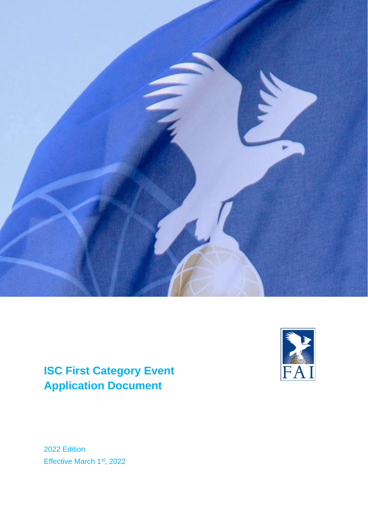

# **ISC First Category Event Application Document**



2022 Edition Effective March 1<sup>st</sup>, 2022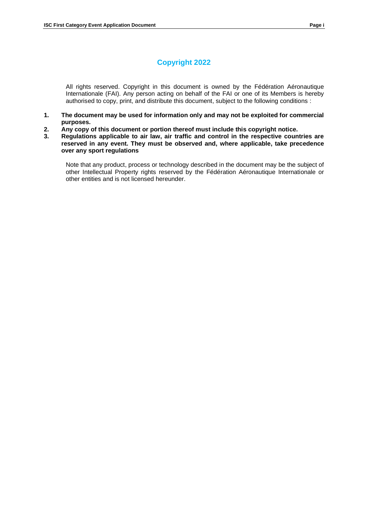## **Copyright 2022**

All rights reserved. Copyright in this document is owned by the Fédération Aéronautique Internationale (FAI). Any person acting on behalf of the FAI or one of its Members is hereby authorised to copy, print, and distribute this document, subject to the following conditions :

- **1. The document may be used for information only and may not be exploited for commercial purposes.**
- **2. Any copy of this document or portion thereof must include this copyright notice.**
- **3. Regulations applicable to air law, air traffic and control in the respective countries are reserved in any event. They must be observed and, where applicable, take precedence over any sport regulations**

Note that any product, process or technology described in the document may be the subject of other Intellectual Property rights reserved by the Fédération Aéronautique Internationale or other entities and is not licensed hereunder.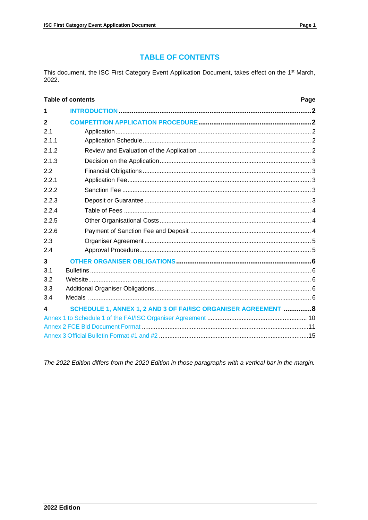## **TABLE OF CONTENTS**

This document, the ISC First Category Event Application Document, takes effect on the 1<sup>st</sup> March, 2022.

|              | <b>Table of contents</b><br>Page                               |  |
|--------------|----------------------------------------------------------------|--|
| 1            |                                                                |  |
| $\mathbf{2}$ |                                                                |  |
| 21           |                                                                |  |
| 2.1.1        |                                                                |  |
| 2.1.2        |                                                                |  |
| 2.1.3        |                                                                |  |
| 2.2          |                                                                |  |
| 2.2.1        |                                                                |  |
| 2.2.2        |                                                                |  |
| 2.2.3        |                                                                |  |
| 2.2.4        |                                                                |  |
| 2.2.5        |                                                                |  |
| 2.2.6        |                                                                |  |
| 2.3          |                                                                |  |
| 2.4          |                                                                |  |
| 3            |                                                                |  |
| 3.1          |                                                                |  |
| 3.2          |                                                                |  |
| 3.3          |                                                                |  |
| 3.4          |                                                                |  |
| 4            | SCHEDULE 1, ANNEX 1, 2 AND 3 OF FAI/ISC ORGANISER AGREEMENT  8 |  |
|              |                                                                |  |
|              |                                                                |  |
|              |                                                                |  |

<span id="page-2-0"></span>The 2022 Edition differs from the 2020 Edition in those paragraphs with a vertical bar in the margin.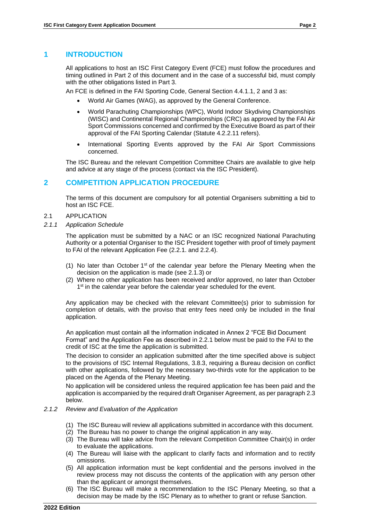## **1 INTRODUCTION**

All applications to host an ISC First Category Event (FCE) must follow the procedures and timing outlined in Part 2 of this document and in the case of a successful bid, must comply with the other obligations listed in Part 3.

An FCE is defined in the FAI Sporting Code, General Section 4.4.1.1, 2 and 3 as:

- World Air Games (WAG), as approved by the General Conference.
- World Parachuting Championships (WPC), World Indoor Skydiving Championships (WISC) and Continental Regional Championships (CRC) as approved by the FAI Air Sport Commissions concerned and confirmed by the Executive Board as part of their approval of the FAI Sporting Calendar (Statute 4.2.2.11 refers).
- International Sporting Events approved by the FAI Air Sport Commissions concerned.

The ISC Bureau and the relevant Competition Committee Chairs are available to give help and advice at any stage of the process (contact via the ISC President).

## <span id="page-3-0"></span>**2 COMPETITION APPLICATION PROCEDURE**

The terms of this document are compulsory for all potential Organisers submitting a bid to host an ISC FCE.

- <span id="page-3-1"></span>2.1 APPLICATION
- <span id="page-3-2"></span>*2.1.1 Application Schedule*

The application must be submitted by a NAC or an ISC recognized National Parachuting Authority or a potential Organiser to the ISC President together with proof of timely payment to FAI of the relevant Application Fee (2.2.1. and 2.2.4).

- (1) No later than October  $1<sup>st</sup>$  of the calendar year before the Plenary Meeting when the decision on the application is made (see 2.1.3) or
- (2) Where no other application has been received and/or approved, no later than October 1<sup>st</sup> in the calendar year before the calendar year scheduled for the event.

Any application may be checked with the relevant Committee(s) prior to submission for completion of details, with the proviso that entry fees need only be included in the final application.

An application must contain all the information indicated in Annex 2 "FCE Bid Document Format" and the Application Fee as described in 2.2.1 below must be paid to the FAI to the credit of ISC at the time the application is submitted.

The decision to consider an application submitted after the time specified above is subject to the provisions of ISC Internal Regulations, 3.8.3, requiring a Bureau decision on conflict with other applications, followed by the necessary two-thirds vote for the application to be placed on the Agenda of the Plenary Meeting.

No application will be considered unless the required application fee has been paid and the application is accompanied by the required draft Organiser Agreement, as per paragraph 2.3 below.

#### <span id="page-3-3"></span>*2.1.2 Review and Evaluation of the Application*

- (1) The ISC Bureau will review all applications submitted in accordance with this document.
- (2) The Bureau has no power to change the original application in any way.
- (3) The Bureau will take advice from the relevant Competition Committee Chair(s) in order to evaluate the applications.
- (4) The Bureau will liaise with the applicant to clarify facts and information and to rectify omissions.
- (5) All application information must be kept confidential and the persons involved in the review process may not discuss the contents of the application with any person other than the applicant or amongst themselves.
- (6) The ISC Bureau will make a recommendation to the ISC Plenary Meeting, so that a decision may be made by the ISC Plenary as to whether to grant or refuse Sanction.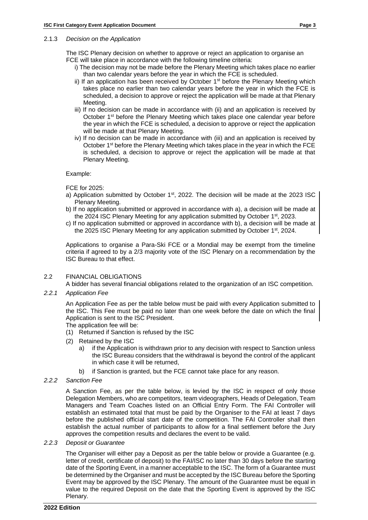#### 2.1.3 *Decision on the Application*

The ISC Plenary decision on whether to approve or reject an application to organise an FCE will take place in accordance with the following timeline criteria:

- i) The decision may not be made before the Plenary Meeting which takes place no earlier than two calendar years before the year in which the FCE is scheduled.
- ii) If an application has been received by October  $1<sup>st</sup>$  before the Plenary Meeting which takes place no earlier than two calendar years before the year in which the FCE is scheduled, a decision to approve or reject the application will be made at that Plenary Meeting.
- iii) If no decision can be made in accordance with (ii) and an application is received by October 1<sup>st</sup> before the Plenary Meeting which takes place one calendar year before the year in which the FCE is scheduled, a decision to approve or reject the application will be made at that Plenary Meeting.
- iv) If no decision can be made in accordance with (iii) and an application is received by October 1<sup>st</sup> before the Plenary Meeting which takes place in the year in which the FCE is scheduled, a decision to approve or reject the application will be made at that Plenary Meeting.

Example:

FCE for 2025:

- a) Application submitted by October 1<sup>st</sup>, 2022. The decision will be made at the 2023 ISC Plenary Meeting.
- b) If no application submitted or approved in accordance with a), a decision will be made at the 2024 ISC Plenary Meeting for any application submitted by October 1st, 2023.
- c) If no application submitted or approved in accordance with b), a decision will be made at the 2025 ISC Plenary Meeting for any application submitted by October 1<sup>st</sup>, 2024.

Applications to organise a Para-Ski FCE or a Mondial may be exempt from the timeline criteria if agreed to by a 2/3 majority vote of the ISC Plenary on a recommendation by the ISC Bureau to that effect.

#### <span id="page-4-0"></span>2.2 FINANCIAL OBLIGATIONS

A bidder has several financial obligations related to the organization of an ISC competition.

<span id="page-4-1"></span>*2.2.1 Application Fee*

An Application Fee as per the table below must be paid with every Application submitted to the ISC. This Fee must be paid no later than one week before the date on which the final Application is sent to the ISC President.

- The application fee will be:
- (1) Returned if Sanction is refused by the ISC
- (2) Retained by the ISC
	- a) if the Application is withdrawn prior to any decision with respect to Sanction unless the ISC Bureau considers that the withdrawal is beyond the control of the applicant in which case it will be returned,
	- b) if Sanction is granted, but the FCE cannot take place for any reason.
- <span id="page-4-2"></span>*2.2.2 Sanction Fee*

A Sanction Fee, as per the table below, is levied by the ISC in respect of only those Delegation Members, who are competitors, team videographers, Heads of Delegation, Team Managers and Team Coaches listed on an Official Entry Form. The FAI Controller will establish an estimated total that must be paid by the Organiser to the FAI at least 7 days before the published official start date of the competition. The FAI Controller shall then establish the actual number of participants to allow for a final settlement before the Jury approves the competition results and declares the event to be valid.

<span id="page-4-3"></span>*2.2.3 Deposit or Guarantee*

The Organiser will either pay a Deposit as per the table below or provide a Guarantee (e.g. letter of credit, certificate of deposit) to the FAI/ISC no later than 30 days before the starting date of the Sporting Event, in a manner acceptable to the ISC. The form of a Guarantee must be determined by the Organiser and must be accepted by the ISC Bureau before the Sporting Event may be approved by the ISC Plenary. The amount of the Guarantee must be equal in value to the required Deposit on the date that the Sporting Event is approved by the ISC Plenary.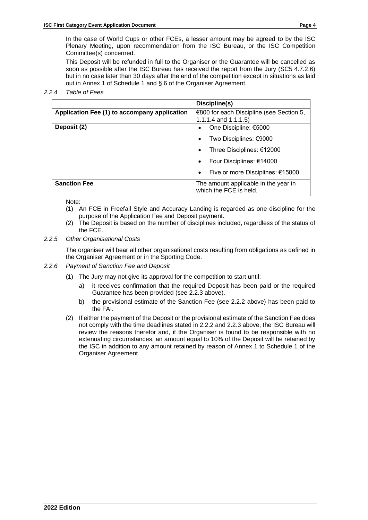In the case of World Cups or other FCEs, a lesser amount may be agreed to by the ISC Plenary Meeting, upon recommendation from the ISC Bureau, or the ISC Competition Committee(s) concerned.

This Deposit will be refunded in full to the Organiser or the Guarantee will be cancelled as soon as possible after the ISC Bureau has received the report from the Jury (SC5 4.7.2.6) but in no case later than 30 days after the end of the competition except in situations as laid out in Annex 1 of Schedule 1 and § 6 of the Organiser Agreement.

<span id="page-5-0"></span>*2.2.4 Table of Fees*

|                                              | Discipline(s)                                                       |
|----------------------------------------------|---------------------------------------------------------------------|
| Application Fee (1) to accompany application | €800 for each Discipline (see Section 5,<br>1.1.1.4 and $1.1.1.5$ ) |
| Deposit (2)                                  | One Discipline: €5000                                               |
|                                              | Two Disciplines: €9000<br>$\bullet$                                 |
|                                              | Three Disciplines: €12000<br>$\bullet$                              |
|                                              | Four Disciplines: €14000<br>$\bullet$                               |
|                                              | Five or more Disciplines: €15000<br>$\bullet$                       |
| <b>Sanction Fee</b>                          | The amount applicable in the year in<br>which the FCE is held.      |

Note:

- (1) An FCE in Freefall Style and Accuracy Landing is regarded as one discipline for the purpose of the Application Fee and Deposit payment.
- (2) The Deposit is based on the number of disciplines included, regardless of the status of the FCE.

## <span id="page-5-1"></span>*2.2.5 Other Organisational Costs*

The organiser will bear all other organisational costs resulting from obligations as defined in the Organiser Agreement or in the Sporting Code.

- <span id="page-5-3"></span><span id="page-5-2"></span>*2.2.6 Payment of Sanction Fee and Deposit*
	- (1) The Jury may not give its approval for the competition to start until:
		- a) it receives confirmation that the required Deposit has been paid or the required Guarantee has been provided (see 2.2.3 above).
		- b) the provisional estimate of the Sanction Fee (see 2.2.2 above) has been paid to the FAI.
	- (2) If either the payment of the Deposit or the provisional estimate of the Sanction Fee does not comply with the time deadlines stated in 2.2.2 and 2.2.3 above, the ISC Bureau will review the reasons therefor and, if the Organiser is found to be responsible with no extenuating circumstances, an amount equal to 10% of the Deposit will be retained by the ISC in addition to any amount retained by reason of Annex 1 to Schedule 1 of the Organiser Agreement.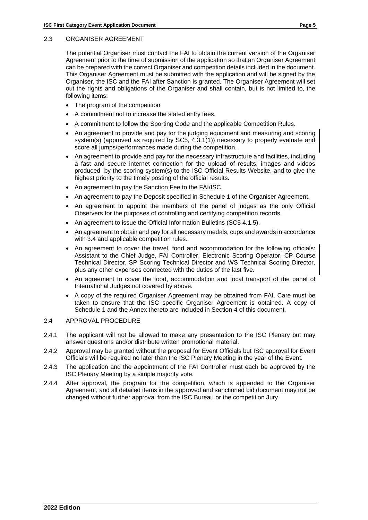### 2.3 ORGANISER AGREEMENT

The potential Organiser must contact the FAI to obtain the current version of the Organiser Agreement prior to the time of submission of the application so that an Organiser Agreement can be prepared with the correct Organiser and competition details included in the document. This Organiser Agreement must be submitted with the application and will be signed by the Organiser, the ISC and the FAI after Sanction is granted. The Organiser Agreement will set out the rights and obligations of the Organiser and shall contain, but is not limited to, the following items:

- The program of the competition
- A commitment not to increase the stated entry fees.
- A commitment to follow the Sporting Code and the applicable Competition Rules.
- An agreement to provide and pay for the judging equipment and measuring and scoring system(s) (approved as required by SC5, 4.3.1(1)) necessary to properly evaluate and score all jumps/performances made during the competition.
- An agreement to provide and pay for the necessary infrastructure and facilities, including a fast and secure internet connection for the upload of results, images and videos produced by the scoring system(s) to the ISC Official Results Website, and to give the highest priority to the timely posting of the official results.
- An agreement to pay the Sanction Fee to the FAI/ISC.
- An agreement to pay the Deposit specified in Schedule 1 of the Organiser Agreement.
- An agreement to appoint the members of the panel of judges as the only Official Observers for the purposes of controlling and certifying competition records.
- An agreement to issue the Official Information Bulletins (SC5 4.1.5).
- An agreement to obtain and pay for all necessary medals, cups and awards in accordance with 3.4 and applicable competition rules.
- An agreement to cover the travel, food and accommodation for the following officials: Assistant to the Chief Judge, FAI Controller, Electronic Scoring Operator, CP Course Technical Director, SP Scoring Technical Director and WS Technical Scoring Director, plus any other expenses connected with the duties of the last five.
- An agreement to cover the food, accommodation and local transport of the panel of International Judges not covered by above.
- A copy of the required Organiser Agreement may be obtained from FAI. Care must be taken to ensure that the ISC specific Organiser Agreement is obtained. A copy of Schedule 1 and the Annex thereto are included in Section 4 of this document.

## <span id="page-6-0"></span>2.4 APPROVAL PROCEDURE

- 2.4.1 The applicant will not be allowed to make any presentation to the ISC Plenary but may answer questions and/or distribute written promotional material.
- 2.4.2 Approval may be granted without the proposal for Event Officials but ISC approval for Event Officials will be required no later than the ISC Plenary Meeting in the year of the Event.
- 2.4.3 The application and the appointment of the FAI Controller must each be approved by the ISC Plenary Meeting by a simple majority vote.
- 2.4.4 After approval, the program for the competition, which is appended to the Organiser Agreement, and all detailed items in the approved and sanctioned bid document may not be changed without further approval from the ISC Bureau or the competition Jury.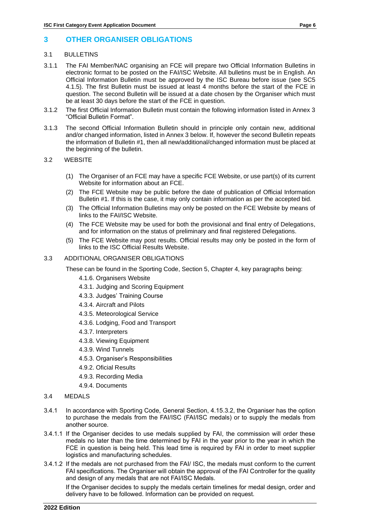## <span id="page-7-1"></span><span id="page-7-0"></span>3.1 BULLETINS

- 3.1.1 The FAI Member/NAC organising an FCE will prepare two Official Information Bulletins in electronic format to be posted on the FAI/ISC Website. All bulletins must be in English. An Official Information Bulletin must be approved by the ISC Bureau before issue (see SC5 4.1.5). The first Bulletin must be issued at least 4 months before the start of the FCE in question. The second Bulletin will be issued at a date chosen by the Organiser which must be at least 30 days before the start of the FCE in question.
- 3.1.2 The first Official Information Bulletin must contain the following information listed in Annex 3 "Official Bulletin Format".
- 3.1.3 The second Official Information Bulletin should in principle only contain new, additional and/or changed information, listed in Annex 3 below. If, however the second Bulletin repeats the information of Bulletin #1, then all new/additional/changed information must be placed at the beginning of the bulletin.

## <span id="page-7-2"></span>3.2 WEBSITE

- (1) The Organiser of an FCE may have a specific FCE Website, or use part(s) of its current Website for information about an FCE.
- (2) The FCE Website may be public before the date of publication of Official Information Bulletin #1. If this is the case, it may only contain information as per the accepted bid.
- (3) The Official Information Bulletins may only be posted on the FCE Website by means of links to the FAI/ISC Website.
- (4) The FCE Website may be used for both the provisional and final entry of Delegations, and for information on the status of preliminary and final registered Delegations.
- (5) The FCE Website may post results. Official results may only be posted in the form of links to the ISC Official Results Website.
- 3.3 ADDITIONAL ORGANISER OBLIGATIONS

These can be found in the Sporting Code, Section 5, Chapter 4, key paragraphs being:

- 4.1.6. Organisers Website
- 4.3.1. Judging and Scoring Equipment
- 4.3.3. Judges' Training Course
- 4.3.4. Aircraft and Pilots
- 4.3.5. Meteorological Service
- 4.3.6. Lodging, Food and Transport
- 4.3.7. Interpreters
- 4.3.8. Viewing Equipment
- 4.3.9. Wind Tunnels
- 4.5.3. Organiser's Responsibilities
- 4.9.2. Oficial Results
- 4.9.3. Recording Media
- 4.9.4. Documents
- <span id="page-7-3"></span>3.4 MEDALS
- 3.4.1 In accordance with Sporting Code, General Section, 4.15.3.2, the Organiser has the option to purchase the medals from the FAI/ISC (FAI/ISC medals) or to supply the medals from another source.
- 3.4.1.1 If the Organiser decides to use medals supplied by FAI, the commission will order these medals no later than the time determined by FAI in the year prior to the year in which the FCE in question is being held. This lead time is required by FAI in order to meet supplier logistics and manufacturing schedules.
- 3.4.1.2 If the medals are not purchased from the FAI/ ISC, the medals must conform to the current FAI specifications. The Organiser will obtain the approval of the FAI Controller for the quality and design of any medals that are not FAI/ISC Medals.

If the Organiser decides to supply the medals certain timelines for medal design, order and delivery have to be followed. Information can be provided on request.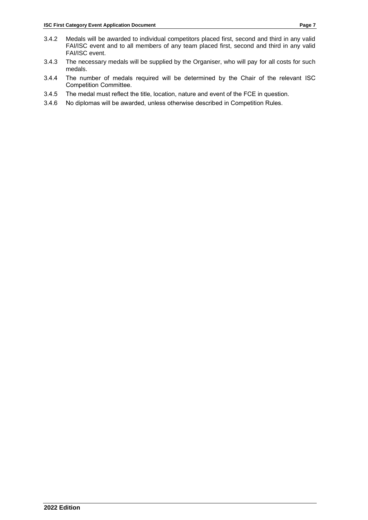- 3.4.2 Medals will be awarded to individual competitors placed first, second and third in any valid FAI/ISC event and to all members of any team placed first, second and third in any valid FAI/ISC event.
- 3.4.3 The necessary medals will be supplied by the Organiser, who will pay for all costs for such medals.
- 3.4.4 The number of medals required will be determined by the Chair of the relevant ISC Competition Committee.
- 3.4.5 The medal must reflect the title, location, nature and event of the FCE in question.
- 3.4.6 No diplomas will be awarded, unless otherwise described in Competition Rules.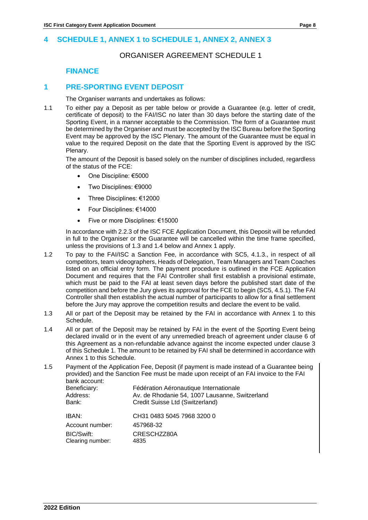## <span id="page-9-0"></span>**4 SCHEDULE 1, ANNEX 1 to SCHEDULE 1, ANNEX 2, ANNEX 3**

## ORGANISER AGREEMENT SCHEDULE 1

## **FINANCE**

## **1 PRE-SPORTING EVENT DEPOSIT**

The Organiser warrants and undertakes as follows:

1.1 To either pay a Deposit as per table below or provide a Guarantee (e.g. letter of credit, certificate of deposit) to the FAI/ISC no later than 30 days before the starting date of the Sporting Event, in a manner acceptable to the Commission. The form of a Guarantee must be determined by the Organiser and must be accepted by the ISC Bureau before the Sporting Event may be approved by the ISC Plenary. The amount of the Guarantee must be equal in value to the required Deposit on the date that the Sporting Event is approved by the ISC Plenary.

The amount of the Deposit is based solely on the number of disciplines included, regardless of the status of the FCE:

- One Discipline: €5000
- Two Disciplines: €9000
- Three Disciplines: €12000
- Four Disciplines: €14000
- Five or more Disciplines: €15000

In accordance with 2.2.3 of the ISC FCE Application Document, this Deposit will be refunded in full to the Organiser or the Guarantee will be cancelled within the time frame specified, unless the provisions of 1.3 and 1.4 below and Annex 1 apply.

- 1.2 To pay to the FAI/ISC a Sanction Fee, in accordance with SC5, 4.1.3., in respect of all competitors, team videographers, Heads of Delegation, Team Managers and Team Coaches listed on an official entry form. The payment procedure is outlined in the FCE Application Document and requires that the FAI Controller shall first establish a provisional estimate, which must be paid to the FAI at least seven days before the published start date of the competition and before the Jury gives its approval for the FCE to begin (SC5, 4.5.1). The FAI Controller shall then establish the actual number of participants to allow for a final settlement before the Jury may approve the competition results and declare the event to be valid.
- 1.3 All or part of the Deposit may be retained by the FAI in accordance with Annex 1 to this Schedule.
- 1.4 All or part of the Deposit may be retained by FAI in the event of the Sporting Event being declared invalid or in the event of any unremedied breach of agreement under clause 6 of this Agreement as a non-refundable advance against the income expected under clause 3 of this Schedule 1. The amount to be retained by FAI shall be determined in accordance with Annex 1 to this Schedule.
- 1.5 Payment of the Application Fee, Deposit (if payment is made instead of a Guarantee being provided) and the Sanction Fee must be made upon receipt of an FAI invoice to the FAI bank account:<br>Beneficianu Beneficiary: Fédération Aéronautique Internationale

| Dellelluidiv.    | Federation Reformational internationale        |
|------------------|------------------------------------------------|
| Address:         | Av. de Rhodanie 54, 1007 Lausanne, Switzerland |
| Bank:            | Credit Suisse Ltd (Switzerland)                |
| IBAN:            | CH31 0483 5045 7968 3200 0                     |
| Account number:  | 457968-32                                      |
| BIC/Swift:       | CRESCHZZ80A                                    |
| Clearing number: | 4835                                           |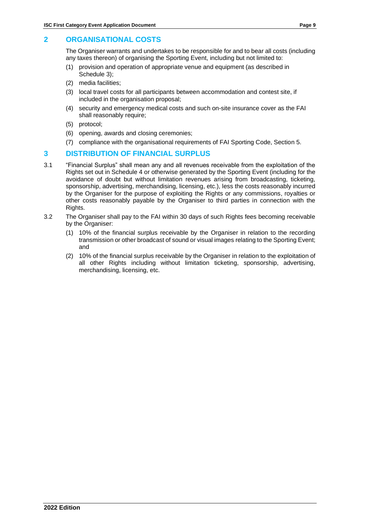## **2 ORGANISATIONAL COSTS**

The Organiser warrants and undertakes to be responsible for and to bear all costs (including any taxes thereon) of organising the Sporting Event, including but not limited to:

- (1) provision and operation of appropriate venue and equipment (as described in Schedule 3);
- (2) media facilities;
- (3) local travel costs for all participants between accommodation and contest site, if included in the organisation proposal;
- (4) security and emergency medical costs and such on-site insurance cover as the FAI shall reasonably require;
- (5) protocol;
- (6) opening, awards and closing ceremonies;
- (7) compliance with the organisational requirements of FAI Sporting Code, Section 5.

## **3 DISTRIBUTION OF FINANCIAL SURPLUS**

- 3.1 "Financial Surplus" shall mean any and all revenues receivable from the exploitation of the Rights set out in Schedule 4 or otherwise generated by the Sporting Event (including for the avoidance of doubt but without limitation revenues arising from broadcasting, ticketing, sponsorship, advertising, merchandising, licensing, etc.), less the costs reasonably incurred by the Organiser for the purpose of exploiting the Rights or any commissions, royalties or other costs reasonably payable by the Organiser to third parties in connection with the Rights.
- 3.2 The Organiser shall pay to the FAI within 30 days of such Rights fees becoming receivable by the Organiser:
	- (1) 10% of the financial surplus receivable by the Organiser in relation to the recording transmission or other broadcast of sound or visual images relating to the Sporting Event; and
	- (2) 10% of the financial surplus receivable by the Organiser in relation to the exploitation of all other Rights including without limitation ticketing, sponsorship, advertising, merchandising, licensing, etc.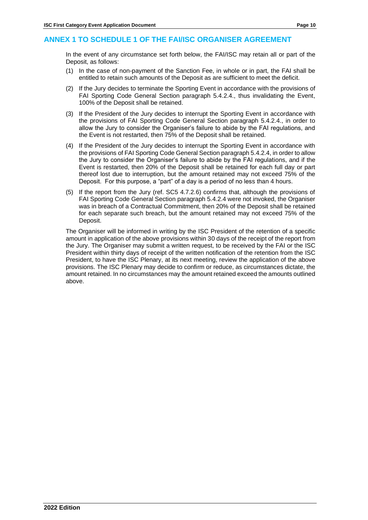## **ANNEX 1 TO SCHEDULE 1 OF THE FAI/ISC ORGANISER AGREEMENT**

In the event of any circumstance set forth below, the FAI/ISC may retain all or part of the Deposit, as follows:

- (1) In the case of non-payment of the Sanction Fee, in whole or in part, the FAI shall be entitled to retain such amounts of the Deposit as are sufficient to meet the deficit.
- (2) If the Jury decides to terminate the Sporting Event in accordance with the provisions of FAI Sporting Code General Section paragraph 5.4.2.4., thus invalidating the Event, 100% of the Deposit shall be retained.
- (3) If the President of the Jury decides to interrupt the Sporting Event in accordance with the provisions of FAI Sporting Code General Section paragraph 5.4.2.4., in order to allow the Jury to consider the Organiser's failure to abide by the FAI regulations, and the Event is not restarted, then 75% of the Deposit shall be retained.
- (4) If the President of the Jury decides to interrupt the Sporting Event in accordance with the provisions of FAI Sporting Code General Section paragraph 5.4.2.4, in order to allow the Jury to consider the Organiser's failure to abide by the FAI regulations, and if the Event is restarted, then 20% of the Deposit shall be retained for each full day or part thereof lost due to interruption, but the amount retained may not exceed 75% of the Deposit. For this purpose, a "part" of a day is a period of no less than 4 hours.
- (5) If the report from the Jury (ref. SC5 4.7.2.6) confirms that, although the provisions of FAI Sporting Code General Section paragraph 5.4.2.4 were not invoked, the Organiser was in breach of a Contractual Commitment, then 20% of the Deposit shall be retained for each separate such breach, but the amount retained may not exceed 75% of the Deposit.

The Organiser will be informed in writing by the ISC President of the retention of a specific amount in application of the above provisions within 30 days of the receipt of the report from the Jury. The Organiser may submit a written request, to be received by the FAI or the ISC President within thirty days of receipt of the written notification of the retention from the ISC President, to have the ISC Plenary, at its next meeting, review the application of the above provisions. The ISC Plenary may decide to confirm or reduce, as circumstances dictate, the amount retained. In no circumstances may the amount retained exceed the amounts outlined above.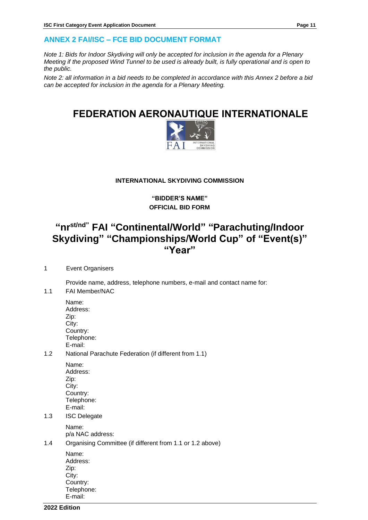## **ANNEX 2 FAI/ISC – FCE BID DOCUMENT FORMAT**

*Note 1: Bids for Indoor Skydiving will only be accepted for inclusion in the agenda for a Plenary Meeting if the proposed Wind Tunnel to be used is already built, is fully operational and is open to the public.* 

*Note 2: all information in a bid needs to be completed in accordance with this Annex 2 before a bid can be accepted for inclusion in the agenda for a Plenary Meeting.* 

## **FEDERATION AERONAUTIQUE INTERNATIONALE**



## **INTERNATIONAL SKYDIVING COMMISSION**

**"BIDDER'S NAME" OFFICIAL BID FORM**

## **"nrst/nd" FAI "Continental/World" "Parachuting/Indoor Skydiving" "Championships/World Cup" of "Event(s)" "Year"**

## 1 Event Organisers

Provide name, address, telephone numbers, e-mail and contact name for:

- 1.1 FAI Member/NAC
	- Name: Address: Zip: City: Country: Telephone: E-mail:
- 1.2 National Parachute Federation (if different from 1.1)
	- Name: Address: Zip: City: Country: Telephone: E-mail:
- 1.3 ISC Delegate

Name: p/a NAC address:

1.4 Organising Committee (if different from 1.1 or 1.2 above)

| Name:      |
|------------|
| Address:   |
| Zip:       |
| City:      |
| Country:   |
| Telephone: |
| E-mail:    |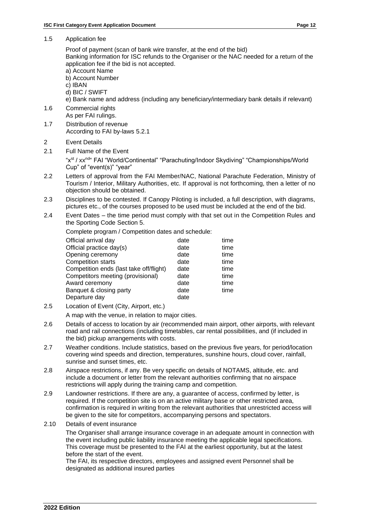1.5 Application fee

Proof of payment (scan of bank wire transfer, at the end of the bid)

Banking information for ISC refunds to the Organiser or the NAC needed for a return of the application fee if the bid is not accepted.

- a) Account Name
- b) Account Number
- c) IBAN
- d) BIC / SWIFT

e) Bank name and address (including any beneficiary/intermediary bank details if relevant)

- 1.6 Commercial rights As per FAI rulings.
- 1.7 Distribution of revenue According to FAI by-laws 5.2.1
- 2 Event Details
- 2.1 Full Name of the Event

"xst / xxnd" FAI "World/Continental" "Parachuting/Indoor Skydiving" "Championships/World Cup" of "event(s)" "year"

- 2.2 Letters of approval from the FAI Member/NAC, National Parachute Federation, Ministry of Tourism / Interior, Military Authorities, etc. If approval is not forthcoming, then a letter of no objection should be obtained.
- 2.3 Disciplines to be contested. If Canopy Piloting is included, a full description, with diagrams, pictures etc., of the courses proposed to be used must be included at the end of the bid.
- 2.4 Event Dates the time period must comply with that set out in the Competition Rules and the Sporting Code Section 5.

Complete program / Competition dates and schedule:

| Official arrival day                    | date | time |
|-----------------------------------------|------|------|
| Official practice day(s)                | date | time |
| Opening ceremony                        | date | time |
| <b>Competition starts</b>               | date | time |
| Competition ends (last take off/flight) | date | time |
| Competitors meeting (provisional)       | date | time |
| Award ceremony                          | date | time |
| Banquet & closing party                 | date | time |
| Departure day                           | date |      |
|                                         |      |      |

2.5 Location of Event (City, Airport, etc.)

A map with the venue, in relation to major cities.

- 2.6 Details of access to location by air (recommended main airport, other airports, with relevant road and rail connections (including timetables, car rental possibilities, and (if included in the bid) pickup arrangements with costs.
- 2.7 Weather conditions. Include statistics, based on the previous five years, for period/location covering wind speeds and direction, temperatures, sunshine hours, cloud cover, rainfall, sunrise and sunset times, etc.
- 2.8 Airspace restrictions, if any. Be very specific on details of NOTAMS, altitude, etc. and include a document or letter from the relevant authorities confirming that no airspace restrictions will apply during the training camp and competition.
- 2.9 Landowner restrictions. If there are any, a guarantee of access, confirmed by letter, is required. If the competition site is on an active military base or other restricted area, confirmation is required in writing from the relevant authorities that unrestricted access will be given to the site for competitors, accompanying persons and spectators.
- 2.10 Details of event insurance

The Organiser shall arrange insurance coverage in an adequate amount in connection with the event including public liability insurance meeting the applicable legal specifications. This coverage must be presented to the FAI at the earliest opportunity, but at the latest before the start of the event.

The FAI, its respective directors, employees and assigned event Personnel shall be designated as additional insured parties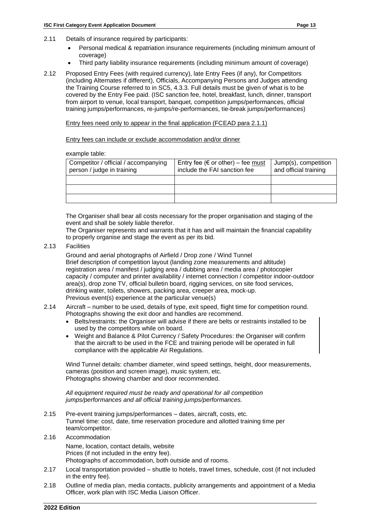- 2.11 Details of insurance required by participants:
	- Personal medical & repatriation insurance requirements (including minimum amount of coverage)
	- Third party liability insurance requirements (including minimum amount of coverage)
- 2.12 Proposed Entry Fees (with required currency), late Entry Fees (if any), for Competitors (including Alternates if different), Officials, Accompanying Persons and Judges attending the Training Course referred to in SC5, 4.3.3. Full details must be given of what is to be covered by the Entry Fee paid. (ISC sanction fee, hotel, breakfast, lunch, dinner, transport from airport to venue, local transport, banquet, competition jumps/performances, official training jumps/performances, re-jumps/re-performances, tie-break jumps/performances)

Entry fees need only to appear in the final application (FCEAD para 2.1.1)

Entry fees can include or exclude accommodation and/or dinner

#### example table:

| Competitor / official / accompanying<br>person / judge in training | Entry fee ( $\epsilon$ or other) – fee must<br>include the FAI sanction fee | Uump(s), competition<br>and official training |
|--------------------------------------------------------------------|-----------------------------------------------------------------------------|-----------------------------------------------|
|                                                                    |                                                                             |                                               |
|                                                                    |                                                                             |                                               |
|                                                                    |                                                                             |                                               |

The Organiser shall bear all costs necessary for the proper organisation and staging of the event and shall be solely liable therefor.

The Organiser represents and warrants that it has and will maintain the financial capability to properly organise and stage the event as per its bid.

2.13 Facilities

Ground and aerial photographs of Airfield / Drop zone / Wind Tunnel Brief description of competition layout (landing zone measurements and altitude) registration area / manifest / judging area / dubbing area / media area / photocopier capacity / computer and printer availability / internet connection / competitor indoor-outdoor area(s), drop zone TV, official bulletin board, rigging services, on site food services, drinking water, toilets, showers, packing area, creeper area, mock-up. Previous event(s) experience at the particular venue(s)

#### 2.14 Aircraft – number to be used, details of type, exit speed, flight time for competition round. Photographs showing the exit door and handles are recommend.

- Belts/restraints: the Organiser will advise if there are belts or restraints installed to be used by the competitors while on board.
- Weight and Balance & Pilot Currency / Safety Procedures: the Organiser will confirm that the aircraft to be used in the FCE and training periode will be operated in full compliance with the applicable Air Regulations.

Wind Tunnel details: chamber diameter, wind speed settings, height, door measurements, cameras (position and screen image), music system, etc. Photographs showing chamber and door recommended.

*All equipment required must be ready and operational for all competition jumps/performances and all official training jumps/performances.*

- 2.15 Pre-event training jumps/performances dates, aircraft, costs, etc. Tunnel time: cost, date, time reservation procedure and allotted training time per team/competitor.
- 2.16 Accommodation

Name, location, contact details, website Prices (if not included in the entry fee). Photographs of accommodation, both outside and of rooms.

- 2.17 Local transportation provided shuttle to hotels, travel times, schedule, cost (if not included in the entry fee).
- 2.18 Outline of media plan, media contacts, publicity arrangements and appointment of a Media Officer, work plan with ISC Media Liaison Officer.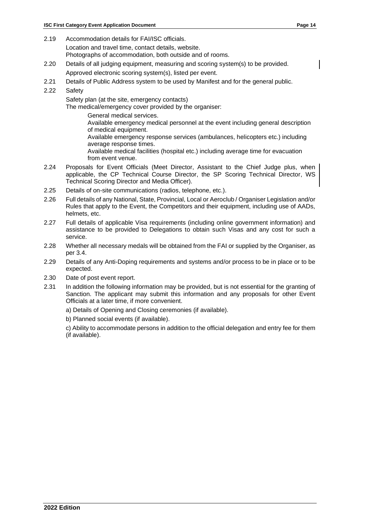2.19 Accommodation details for FAI/ISC officials.

Location and travel time, contact details, website.

Photographs of accommodation, both outside and of rooms.

2.20 Details of all judging equipment, measuring and scoring system(s) to be provided.

Approved electronic scoring system(s), listed per event.

- 2.21 Details of Public Address system to be used by Manifest and for the general public.
- 2.22 Safety

Safety plan (at the site, emergency contacts)

The medical/emergency cover provided by the organiser:

General medical services.

Available emergency medical personnel at the event including general description of medical equipment.

Available emergency response services (ambulances, helicopters etc.) including average response times.

Available medical facilities (hospital etc.) including average time for evacuation from event venue.

- 2.24 Proposals for Event Officials (Meet Director, Assistant to the Chief Judge plus, when applicable, the CP Technical Course Director, the SP Scoring Technical Director, WS Technical Scoring Director and Media Officer).
- 2.25 Details of on-site communications (radios, telephone, etc.).
- 2.26 Full details of any National, State, Provincial, Local or Aeroclub / Organiser Legislation and/or Rules that apply to the Event, the Competitors and their equipment, including use of AADs, helmets, etc.
- 2.27 Full details of applicable Visa requirements (including online government information) and assistance to be provided to Delegations to obtain such Visas and any cost for such a service.
- 2.28 Whether all necessary medals will be obtained from the FAI or supplied by the Organiser, as per 3.4.
- 2.29 Details of any Anti-Doping requirements and systems and/or process to be in place or to be expected.
- 2.30 Date of post event report.
- 2.31 In addition the following information may be provided, but is not essential for the granting of Sanction. The applicant may submit this information and any proposals for other Event Officials at a later time, if more convenient.

a) Details of Opening and Closing ceremonies (if available).

b) Planned social events (if available).

c) Ability to accommodate persons in addition to the official delegation and entry fee for them (if available).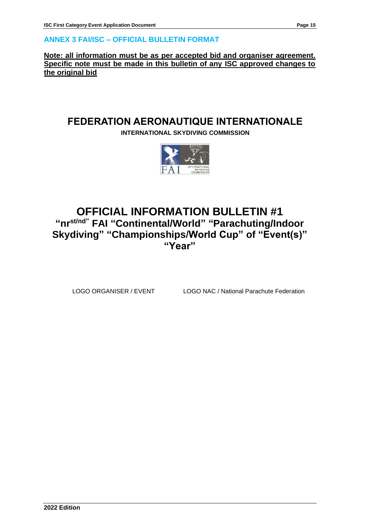## **ANNEX 3 FAI/ISC – OFFICIAL BULLETIN FORMAT**

**Note: all information must be as per accepted bid and organiser agreement. Specific note must be made in this bulletin of any ISC approved changes to the original bid**

## **FEDERATION AERONAUTIQUE INTERNATIONALE**

**INTERNATIONAL SKYDIVING COMMISSION**



## **OFFICIAL INFORMATION BULLETIN #1 "nrst/nd" FAI "Continental/World" "Parachuting/Indoor Skydiving" "Championships/World Cup" of "Event(s)" "Year"**

LOGO ORGANISER / EVENT LOGO NAC / National Parachute Federation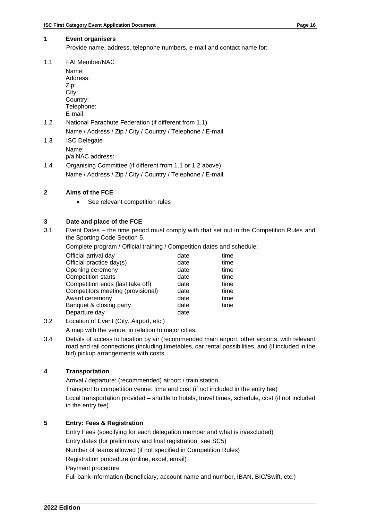## **1 Event organisers**

Provide name, address, telephone numbers, e-mail and contact name for:

1.1 FAI Member/NAC

Name: Address: Zip: City: Country: Telephone: E-mail: 1.2 National Parachute Federation (if different from 1.1) Name / Address / Zip / City / Country / Telephone / E-mail 1.3 ISC Delegate Name:

- p/a NAC address:
- 1.4 Organising Committee (if different from 1.1 or 1.2 above) Name / Address / Zip / City / Country / Telephone / E-mail

## **2 Aims of the FCE**

See relevant competition rules

## **3 Date and place of the FCE**

3.1 Event Dates – the time period must comply with that set out in the Competition Rules and the Sporting Code Section 5.

Complete program / Official training / Competition dates and schedule:

| Official arrival day              | date | time |
|-----------------------------------|------|------|
| Official practice day(s)          | date | time |
| Opening ceremony                  | date | time |
| <b>Competition starts</b>         | date | time |
| Competition ends (last take off)  | date | time |
| Competitors meeting (provisional) | date | time |
| Award ceremony                    | date | time |
| Banquet & closing party           | date | time |
| Departure day                     | date |      |

3.2 Location of Event (City, Airport, etc.)

A map with the venue, in relation to major cities.

3.4 Details of access to location by air (recommended main airport, other airports, with relevant road and rail connections (including timetables, car rental possibilities, and (if included in the bid) pickup arrangements with costs.

## **4 Transportation**

Arrival / departure: (recommended) airport / train station

Transport to competition venue: time and cost (if not included in the entry fee)

Local transportation provided – shuttle to hotels, travel times, schedule, cost (if not included in the entry fee)

## **5 Entry: Fees & Registration**

Entry Fees (specifying for each delegation member and what is in/excluded) Entry dates (for preliminary and final registration, see SC5) Number of teams allowed (if not specified in Competition Rules) Registration procedure (online, excel, email) Payment procedure Full bank information (beneficiary, account name and number, IBAN, BIC/Swift, etc.)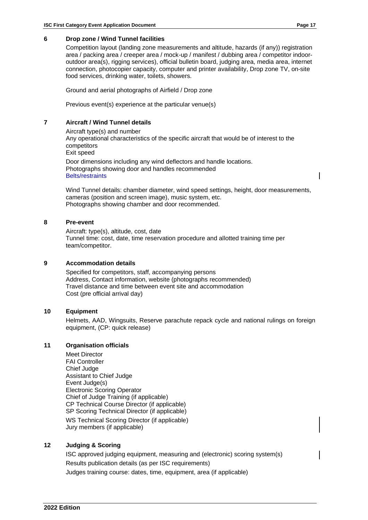#### **6 Drop zone / Wind Tunnel facilities**

Competition layout (landing zone measurements and altitude, hazards (if any)) registration area / packing area / creeper area / mock-up / manifest / dubbing area / competitor indooroutdoor area(s), rigging services), official bulletin board, judging area, media area, internet connection, photocopier capacity, computer and printer availability, Drop zone TV, on-site food services, drinking water, toilets, showers.

Ground and aerial photographs of Airfield / Drop zone

Previous event(s) experience at the particular venue(s)

## **7 Aircraft / Wind Tunnel details**

Aircraft type(s) and number Any operational characteristics of the specific aircraft that would be of interest to the competitors Exit speed Door dimensions including any wind deflectors and handle locations. Photographs showing door and handles recommended Belts/restraints

Wind Tunnel details: chamber diameter, wind speed settings, height, door measurements, cameras (position and screen image), music system, etc. Photographs showing chamber and door recommended.

### **8 Pre-event**

Aircraft: type(s), altitude, cost, date Tunnel time: cost, date, time reservation procedure and allotted training time per team/competitor.

### **9 Accommodation details**

Specified for competitors, staff, accompanying persons Address, Contact information, website (photographs recommended) Travel distance and time between event site and accommodation Cost (pre official arrival day)

## **10 Equipment**

Helmets, AAD, Wingsuits, Reserve parachute repack cycle and national rulings on foreign equipment, (CP: quick release)

#### **11 Organisation officials**

Meet Director FAI Controller Chief Judge Assistant to Chief Judge Event Judge(s) Electronic Scoring Operator Chief of Judge Training (if applicable) CP Technical Course Director (if applicable) SP Scoring Technical Director (if applicable) WS Technical Scoring Director (if applicable) Jury members (if applicable)

## **12 Judging & Scoring**

ISC approved judging equipment, measuring and (electronic) scoring system(s) Results publication details (as per ISC requirements) Judges training course: dates, time, equipment, area (if applicable)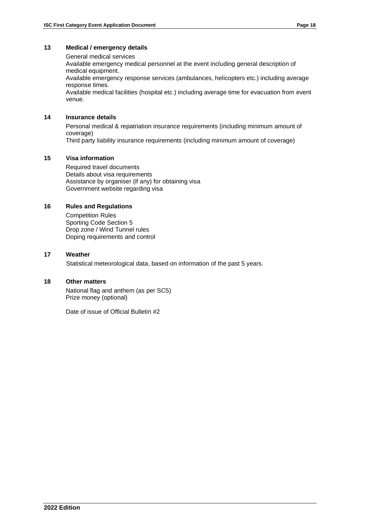## **13 Medical / emergency details**

General medical services Available emergency medical personnel at the event including general description of medical equipment. Available emergency response services (ambulances, helicopters etc.) including average response times. Available medical facilities (hospital etc.) including average time for evacuation from event venue.

## **14 Insurance details**

Personal medical & repatriation insurance requirements (including minimum amount of coverage) Third party liability insurance requirements (including minimum amount of coverage)

## **15 Visa information**

Required travel documents Details about visa requirements Assistance by organiser (if any) for obtaining visa Government website regarding visa

## **16 Rules and Regulations**

Competition Rules Sporting Code Section 5 Drop zone / Wind Tunnel rules Doping requirements and control

### **17 Weather**

Statistical meteorological data, based on information of the past 5 years.

### **18 Other matters**

National flag and anthem (as per SC5) Prize money (optional)

Date of issue of Official Bulletin #2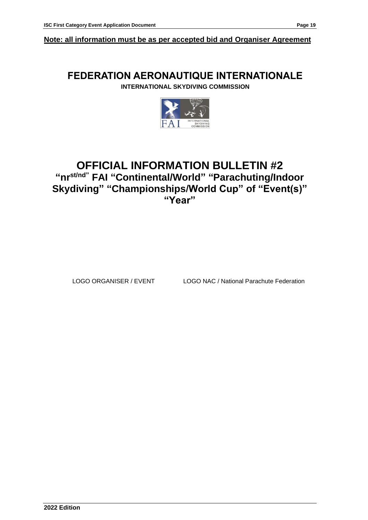**Note: all information must be as per accepted bid and Organiser Agreement**

## **FEDERATION AERONAUTIQUE INTERNATIONALE**

**INTERNATIONAL SKYDIVING COMMISSION**



## **OFFICIAL INFORMATION BULLETIN #2 "nrst/nd" FAI "Continental/World" "Parachuting/Indoor Skydiving" "Championships/World Cup" of "Event(s)" "Year"**

LOGO ORGANISER / EVENT LOGO NAC / National Parachute Federation